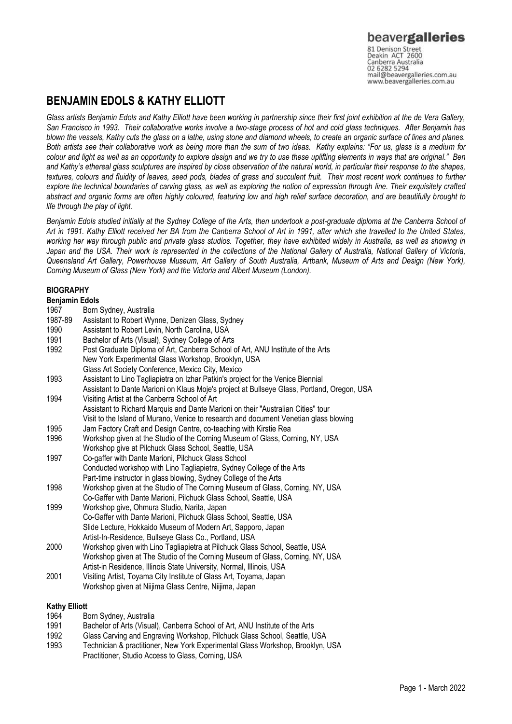beavergalleries 81 Denison Street<br>Deakin ACT 2600 Canberra Australia<br>02 6282 5294 mail@beavergalleries.com.au www.beavergalleries.com.au

# **BENJAMIN EDOLS & KATHY ELLIOTT**

*Glass artists Benjamin Edols and Kathy Elliott have been working in partnership since their first joint exhibition at the de Vera Gallery, San Francisco in 1993. Their collaborative works involve a two-stage process of hot and cold glass techniques. After Benjamin has blown the vessels, Kathy cuts the glass on a lathe, using stone and diamond wheels, to create an organic surface of lines and planes. Both artists see their collaborative work as being more than the sum of two ideas. Kathy explains: "For us, glass is a medium for colour and light as well as an opportunity to explore design and we try to use these uplifting elements in ways that are original." Ben and Kathy's ethereal glass sculptures are inspired by close observation of the natural world, in particular their response to the shapes, textures, colours and fluidity of leaves, seed pods, blades of grass and succulent fruit. Their most recent work continues to further explore the technical boundaries of carving glass, as well as exploring the notion of expression through line. Their exquisitely crafted abstract and organic forms are often highly coloured, featuring low and high relief surface decoration, and are beautifully brought to life through the play of light.* 

*Benjamin Edols studied initially at the Sydney College of the Arts, then undertook a post-graduate diploma at the Canberra School of Art in 1991. Kathy Elliott received her BA from the Canberra School of Art in 1991, after which she travelled to the United States, working her way through public and private glass studios. Together, they have exhibited widely in Australia, as well as showing in Japan and the USA. Their work is represented in the collections of the National Gallery of Australia, National Gallery of Victoria, Queensland Art Gallery, Powerhouse Museum, Art Gallery of South Australia, Artbank, Museum of Arts and Design (New York), Corning Museum of Glass (New York) and the Victoria and Albert Museum (London).*

# **BIOGRAPHY**

# **Benjamin Edols**

- 1967 Born Sydney, Australia
- 1987-89 Assistant to Robert Wynne, Denizen Glass, Sydney<br>1990 Assistant to Robert Levin, North Carolina, USA
- Assistant to Robert Levin, North Carolina, USA
- 1991 Bachelor of Arts (Visual), Sydney College of Arts
- 1992 Post Graduate Diploma of Art, Canberra School of Art, ANU Institute of the Arts New York Experimental Glass Workshop, Brooklyn, USA Glass Art Society Conference, Mexico City, Mexico
- 1993 Assistant to Lino Tagliapietra on Izhar Patkin's project for the Venice Biennial
- Assistant to Dante Marioni on Klaus Moje's project at Bullseye Glass, Portland, Oregon, USA 1994 Visiting Artist at the Canberra School of Art
	- Assistant to Richard Marquis and Dante Marioni on their "Australian Cities" tour
	- Visit to the Island of Murano, Venice to research and document Venetian glass blowing
- 1995 Jam Factory Craft and Design Centre, co-teaching with Kirstie Rea
- 1996 Workshop given at the Studio of the Corning Museum of Glass, Corning, NY, USA
- Workshop give at Pilchuck Glass School, Seattle, USA 1997 Co-gaffer with Dante Marioni, Pilchuck Glass School Conducted workshop with Lino Tagliapietra, Sydney College of the Arts
- Part-time instructor in glass blowing, Sydney College of the Arts
- 1998 Workshop given at the Studio of The Corning Museum of Glass, Corning, NY, USA Co-Gaffer with Dante Marioni, Pilchuck Glass School, Seattle, USA
- 1999 Workshop give, Ohmura Studio, Narita, Japan Co-Gaffer with Dante Marioni, Pilchuck Glass School, Seattle, USA Slide Lecture, Hokkaido Museum of Modern Art, Sapporo, Japan Artist-In-Residence, Bullseye Glass Co., Portland, USA
- 2000 Workshop given with Lino Tagliapietra at Pilchuck Glass School, Seattle, USA Workshop given at The Studio of the Corning Museum of Glass, Corning, NY, USA Artist-in Residence, Illinois State University, Normal, Illinois, USA
- 2001 Visiting Artist, Toyama City Institute of Glass Art, Toyama, Japan Workshop given at Niijima Glass Centre, Niijima, Japan

### **Kathy Elliott**

- 1964 Born Sydney, Australia
- 1991 Bachelor of Arts (Visual), Canberra School of Art, ANU Institute of the Arts<br>1992 Glass Carving and Engraving Workshop, Pilchuck Glass School, Seattle, U
- 1992 Glass Carving and Engraving Workshop, Pilchuck Glass School, Seattle, USA
- Technician & practitioner, New York Experimental Glass Workshop, Brooklyn, USA Practitioner, Studio Access to Glass, Corning, USA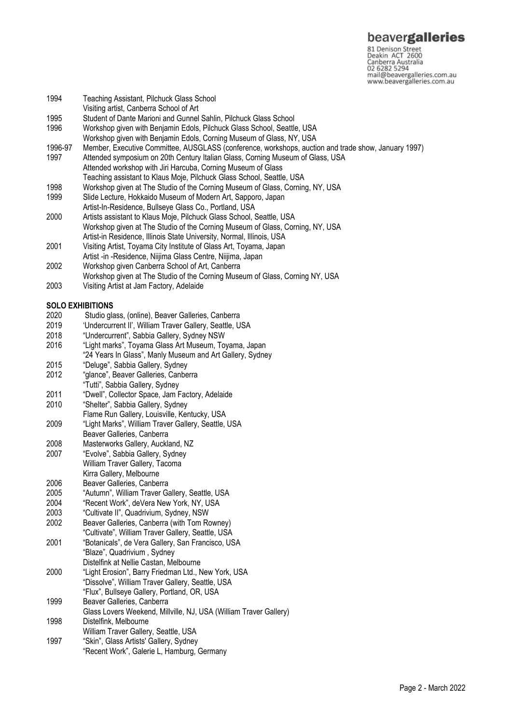81 Denison Street<br>Deakin ACT 2600 Canberra Australia 02 6282 5294 mail@beavergalleries.com.au www.beavergalleries.com.au

- 1994 Teaching Assistant, Pilchuck Glass School
- Visiting artist, Canberra School of Art
- 1995 Student of Dante Marioni and Gunnel Sahlin, Pilchuck Glass School<br>1996 Vorkshop given with Benjamin Edols, Pilchuck Glass School, Seattl
- 1996 Workshop given with Benjamin Edols, Pilchuck Glass School, Seattle, USA Workshop given with Benjamin Edols, Corning Museum of Glass, NY, USA
- 
- 1996-97 Member, Executive Committee, AUSGLASS (conference, workshops, auction and trade show, January 1997)<br>1997 – Attended symposium on 20th Century Italian Glass, Corning Museum of Glass, USA Attended symposium on 20th Century Italian Glass, Corning Museum of Glass, USA Attended workshop with Jiri Harcuba, Corning Museum of Glass Teaching assistant to Klaus Moje, Pilchuck Glass School, Seattle, USA
- 1998 Workshop given at The Studio of the Corning Museum of Glass, Corning, NY, USA
- 1999 Slide Lecture, Hokkaido Museum of Modern Art, Sapporo, Japan
- Artist-In-Residence, Bullseye Glass Co., Portland, USA
- 2000 Artists assistant to Klaus Moje, Pilchuck Glass School, Seattle, USA Workshop given at The Studio of the Corning Museum of Glass, Corning, NY, USA Artist-in Residence, Illinois State University, Normal, Illinois, USA
- 2001 Visiting Artist, Toyama City Institute of Glass Art, Toyama, Japan
- Artist -in -Residence, Niijima Glass Centre, Niijima, Japan
- 2002 Workshop given Canberra School of Art, Canberra
- Workshop given at The Studio of the Corning Museum of Glass, Corning NY, USA
- 2003 Visiting Artist at Jam Factory, Adelaide

### **SOLO EXHIBITIONS**

- 2020 Studio glass, (online), Beaver Galleries, Canberra
- 2019 'Undercurrent II', William Traver Gallery, Seattle, USA
- 2018 "Undercurrent", Sabbia Gallery, Sydney NSW
- 2016 "Light marks", Toyama Glass Art Museum, Toyama, Japan
- "24 Years In Glass", Manly Museum and Art Gallery, Sydney
- 2015 "Deluge", Sabbia Gallery, Sydney
- 2012 "glance", Beaver Galleries, Canberra "Tutti", Sabbia Gallery, Sydney
- 2011 "Dwell", Collector Space, Jam Factory, Adelaide
- 2010 "Shelter", Sabbia Gallery, Sydney
- Flame Run Gallery, Louisville, Kentucky, USA
- 2009 "Light Marks", William Traver Gallery, Seattle, USA
- Beaver Galleries, Canberra
- 2008 Masterworks Gallery, Auckland, NZ
- 2007 "Evolve", Sabbia Gallery, Sydney William Traver Gallery, Tacoma
- Kirra Gallery, Melbourne
- 2006 Beaver Galleries, Canberra<br>2005 "Autumn". William Traver G
- 2005 "Autumn", William Traver Gallery, Seattle, USA<br>2004 "Recent Work". deVera New York. NY. USA
- "Recent Work", deVera New York, NY, USA
- 2003 "Cultivate II", Quadrivium, Sydney, NSW Beaver Galleries, Canberra (with Tom Rowney)
- "Cultivate", William Traver Gallery, Seattle, USA
- 2001 "Botanicals", de Vera Gallery, San Francisco, USA "Blaze", Quadrivium , Sydney
- Distelfink at Nellie Castan, Melbourne
- 2000 "Light Erosion", Barry Friedman Ltd., New York, USA "Dissolve", William Traver Gallery, Seattle, USA
- "Flux", Bullseye Gallery, Portland, OR, USA
- 1999 Beaver Galleries, Canberra Glass Lovers Weekend, Millville, NJ, USA (William Traver Gallery)
- 1998 Distelfink, Melbourne
- William Traver Gallery, Seattle, USA
- 1997 "Skin", Glass Artists' Gallery, Sydney
	- "Recent Work", Galerie L, Hamburg, Germany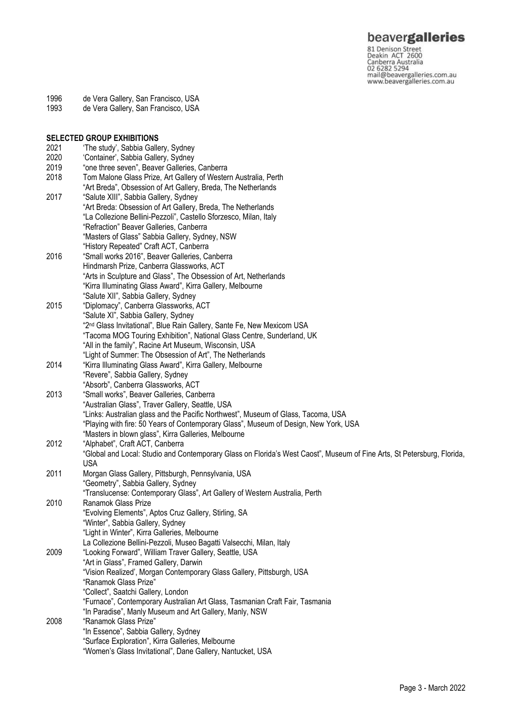**beavergalleries**<br> **81 Denison Street**<br>
Deakin ACT 2600<br>
Canberra Australia<br>
02 6282 5294<br>
mail@beavergalleries.com.au<br>
www.beavergalleries.com.au

- 1996 de Vera Gallery, San Francisco, USA
- 1993 de Vera Gallery, San Francisco, USA

|      | <b>SELECTED GROUP EXHIBITIONS</b>                                                                                       |
|------|-------------------------------------------------------------------------------------------------------------------------|
| 2021 | 'The study', Sabbia Gallery, Sydney                                                                                     |
| 2020 | 'Container', Sabbia Gallery, Sydney                                                                                     |
| 2019 | "one three seven", Beaver Galleries, Canberra                                                                           |
| 2018 | Tom Malone Glass Prize, Art Gallery of Western Australia, Perth                                                         |
|      | "Art Breda", Obsession of Art Gallery, Breda, The Netherlands                                                           |
| 2017 | "Salute XIII", Sabbia Gallery, Sydney                                                                                   |
|      | "Art Breda: Obsession of Art Gallery, Breda, The Netherlands                                                            |
|      | "La Collezione Bellini-Pezzoli", Castello Sforzesco, Milan, Italy                                                       |
|      | "Refraction" Beaver Galleries, Canberra                                                                                 |
|      | "Masters of Glass" Sabbia Gallery, Sydney, NSW                                                                          |
|      | "History Repeated" Craft ACT, Canberra                                                                                  |
| 2016 | "Small works 2016", Beaver Galleries, Canberra                                                                          |
|      | Hindmarsh Prize, Canberra Glassworks, ACT                                                                               |
|      | "Arts in Sculpture and Glass", The Obsession of Art, Netherlands                                                        |
|      | "Kirra Illuminating Glass Award", Kirra Gallery, Melbourne                                                              |
|      | "Salute XII", Sabbia Gallery, Sydney                                                                                    |
| 2015 | "Diplomacy", Canberra Glassworks, ACT                                                                                   |
|      | "Salute XI", Sabbia Gallery, Sydney                                                                                     |
|      | "2 <sup>nd</sup> Glass Invitational", Blue Rain Gallery, Sante Fe, New Mexicom USA                                      |
|      | "Tacoma MOG Touring Exhibition", National Glass Centre, Sunderland, UK                                                  |
|      | "All in the family", Racine Art Museum, Wisconsin, USA                                                                  |
|      | "Light of Summer: The Obsession of Art", The Netherlands                                                                |
| 2014 | "Kirra Illuminating Glass Award", Kirra Gallery, Melbourne                                                              |
|      | "Revere", Sabbia Gallery, Sydney                                                                                        |
|      | "Absorb", Canberra Glassworks, ACT                                                                                      |
| 2013 | "Small works", Beaver Galleries, Canberra                                                                               |
|      | "Australian Glass", Traver Gallery, Seattle, USA                                                                        |
|      | "Links: Australian glass and the Pacific Northwest", Museum of Glass, Tacoma, USA                                       |
|      | "Playing with fire: 50 Years of Contemporary Glass", Museum of Design, New York, USA                                    |
|      | "Masters in blown glass", Kirra Galleries, Melbourne                                                                    |
| 2012 | "Alphabet", Craft ACT, Canberra                                                                                         |
|      | "Global and Local: Studio and Contemporary Glass on Florida's West Caost", Museum of Fine Arts, St Petersburg, Florida, |
|      | <b>USA</b>                                                                                                              |
| 2011 | Morgan Glass Gallery, Pittsburgh, Pennsylvania, USA                                                                     |
|      | "Geometry", Sabbia Gallery, Sydney                                                                                      |
|      | "Translucense: Contemporary Glass", Art Gallery of Western Australia, Perth                                             |
| 2010 | Ranamok Glass Prize                                                                                                     |
|      | "Evolving Elements", Aptos Cruz Gallery, Stirling, SA                                                                   |
|      | "Winter", Sabbia Gallery, Sydney                                                                                        |
|      | "Light in Winter", Kirra Galleries, Melbourne                                                                           |
|      | La Collezione Bellini-Pezzoli, Museo Bagatti Valsecchi, Milan, Italy                                                    |
| 2009 | "Looking Forward", William Traver Gallery, Seattle, USA                                                                 |
|      | "Art in Glass", Framed Gallery, Darwin                                                                                  |
|      | "Vision Realized', Morgan Contemporary Glass Gallery, Pittsburgh, USA                                                   |
|      | "Ranamok Glass Prize"                                                                                                   |
|      | "Collect", Saatchi Gallery, London                                                                                      |
|      | "Furnace", Contemporary Australian Art Glass, Tasmanian Craft Fair, Tasmania                                            |
|      | "In Paradise", Manly Museum and Art Gallery, Manly, NSW                                                                 |
| 2008 | "Ranamok Glass Prize"                                                                                                   |
|      | "In Essence", Sabbia Gallery, Sydney                                                                                    |
|      | "Surface Exploration", Kirra Galleries, Melbourne                                                                       |
|      | "Women's Glass Invitational", Dane Gallery, Nantucket, USA                                                              |
|      |                                                                                                                         |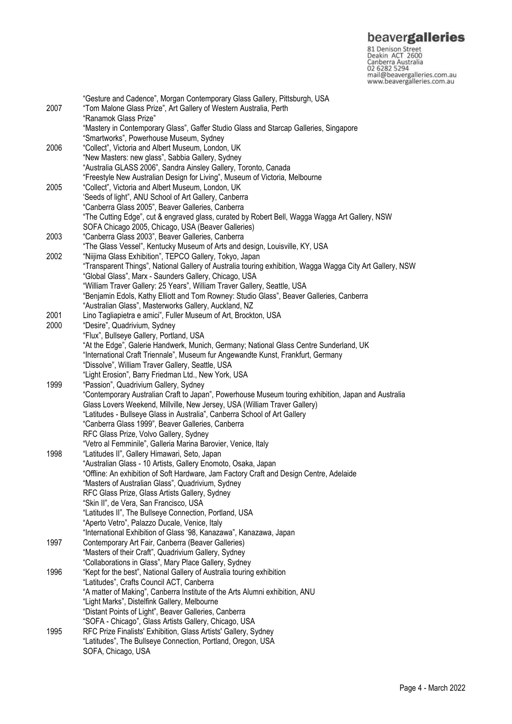**beavergalleries**<br> **81 Denison Street**<br>
Deakin ACT 2600<br>
Canberra Australia<br>
02 6282 5294<br>
mail@beavergalleries.com.au<br>
www.beavergalleries.com.au

|      | "Gesture and Cadence", Morgan Contemporary Glass Gallery, Pittsburgh, USA                                                                                |
|------|----------------------------------------------------------------------------------------------------------------------------------------------------------|
| 2007 | "Tom Malone Glass Prize", Art Gallery of Western Australia, Perth                                                                                        |
|      | "Ranamok Glass Prize"<br>"Mastery in Contemporary Glass", Gaffer Studio Glass and Starcap Galleries, Singapore                                           |
|      | "Smartworks", Powerhouse Museum, Sydney                                                                                                                  |
| 2006 | "Collect", Victoria and Albert Museum, London, UK                                                                                                        |
|      | "New Masters: new glass", Sabbia Gallery, Sydney                                                                                                         |
|      | "Australia GLASS 2006", Sandra Ainsley Gallery, Toronto, Canada                                                                                          |
|      | "Freestyle New Australian Design for Living", Museum of Victoria, Melbourne                                                                              |
| 2005 | "Collect", Victoria and Albert Museum, London, UK                                                                                                        |
|      | 'Seeds of light", ANU School of Art Gallery, Canberra                                                                                                    |
|      | "Canberra Glass 2005", Beaver Galleries, Canberra                                                                                                        |
|      | "The Cutting Edge", cut & engraved glass, curated by Robert Bell, Wagga Wagga Art Gallery, NSW                                                           |
|      | SOFA Chicago 2005, Chicago, USA (Beaver Galleries)                                                                                                       |
| 2003 | "Canberra Glass 2003", Beaver Galleries, Canberra                                                                                                        |
|      | "The Glass Vessel", Kentucky Museum of Arts and design, Louisville, KY, USA                                                                              |
| 2002 | "Niijima Glass Exhibition", TEPCO Gallery, Tokyo, Japan                                                                                                  |
|      | "Transparent Things", National Gallery of Australia touring exhibition, Wagga Wagga City Art Gallery, NSW                                                |
|      | "Global Glass", Marx - Saunders Gallery, Chicago, USA                                                                                                    |
|      | "William Traver Gallery: 25 Years", William Traver Gallery, Seattle, USA                                                                                 |
|      | "Benjamin Edols, Kathy Elliott and Tom Rowney: Studio Glass", Beaver Galleries, Canberra                                                                 |
|      | "Australian Glass", Masterworks Gallery, Auckland, NZ                                                                                                    |
| 2001 | Lino Tagliapietra e amici", Fuller Museum of Art, Brockton, USA                                                                                          |
| 2000 | "Desire", Quadrivium, Sydney                                                                                                                             |
|      | "Flux", Bullseye Gallery, Portland, USA                                                                                                                  |
|      | "At the Edge", Galerie Handwerk, Munich, Germany; National Glass Centre Sunderland, UK                                                                   |
|      | "International Craft Triennale", Museum fur Angewandte Kunst, Frankfurt, Germany                                                                         |
|      | "Dissolve", William Traver Gallery, Seattle, USA                                                                                                         |
|      | "Light Erosion", Barry Friedman Ltd., New York, USA                                                                                                      |
| 1999 | "Passion", Quadrivium Gallery, Sydney                                                                                                                    |
|      | "Contemporary Australian Craft to Japan", Powerhouse Museum touring exhibition, Japan and Australia                                                      |
|      | Glass Lovers Weekend, Millville, New Jersey, USA (William Traver Gallery)                                                                                |
|      | "Latitudes - Bullseye Glass in Australia", Canberra School of Art Gallery                                                                                |
|      | "Canberra Glass 1999", Beaver Galleries, Canberra                                                                                                        |
|      | RFC Glass Prize, Volvo Gallery, Sydney                                                                                                                   |
|      | "Vetro al Femminile", Galleria Marina Barovier, Venice, Italy<br>"Latitudes II", Gallery Himawari, Seto, Japan                                           |
| 1998 |                                                                                                                                                          |
|      | "Australian Glass - 10 Artists, Gallery Enomoto, Osaka, Japan<br>"Offline: An exhibition of Soft Hardware, Jam Factory Craft and Design Centre, Adelaide |
|      |                                                                                                                                                          |
|      | "Masters of Australian Glass", Quadrivium, Sydney<br>RFC Glass Prize, Glass Artists Gallery, Sydney                                                      |
|      | "Skin II", de Vera, San Francisco, USA                                                                                                                   |
|      | "Latitudes II", The Bullseye Connection, Portland, USA                                                                                                   |
|      | "Aperto Vetro", Palazzo Ducale, Venice, Italy                                                                                                            |
|      | "International Exhibition of Glass '98, Kanazawa", Kanazawa, Japan                                                                                       |
| 1997 | Contemporary Art Fair, Canberra (Beaver Galleries)                                                                                                       |
|      | "Masters of their Craft", Quadrivium Gallery, Sydney                                                                                                     |
|      | "Collaborations in Glass", Mary Place Gallery, Sydney                                                                                                    |
| 1996 | "Kept for the best", National Gallery of Australia touring exhibition                                                                                    |
|      | "Latitudes", Crafts Council ACT, Canberra                                                                                                                |
|      | "A matter of Making", Canberra Institute of the Arts Alumni exhibition, ANU                                                                              |
|      | "Light Marks", Distelfink Gallery, Melbourne                                                                                                             |
|      | "Distant Points of Light", Beaver Galleries, Canberra                                                                                                    |
|      | "SOFA - Chicago", Glass Artists Gallery, Chicago, USA                                                                                                    |
| 1995 | RFC Prize Finalists' Exhibition, Glass Artists' Gallery, Sydney                                                                                          |
|      | "Latitudes", The Bullseye Connection, Portland, Oregon, USA                                                                                              |
|      | SOFA, Chicago, USA                                                                                                                                       |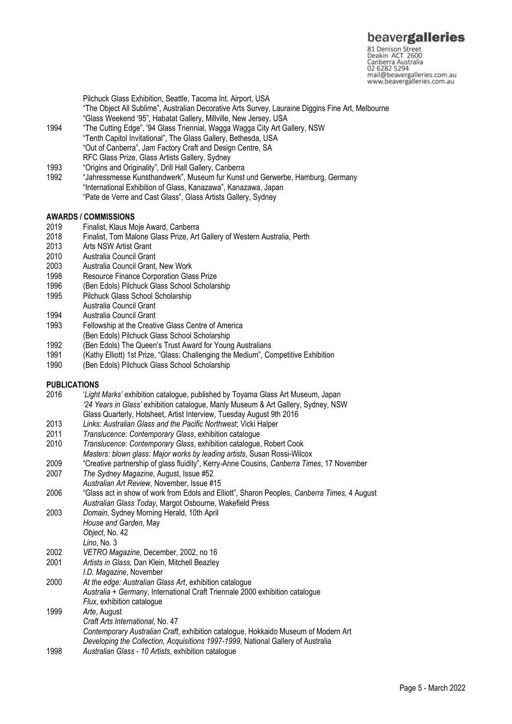81 Denison Street<br>Deakin ACT 2600 Canberra Australia 02 6282 5294 mail@beavergalleries.com.au www.beavergalleries.com.au

Pilchuck Glass Exhibition, Seattle, Tacoma Int. Airport, USA "The Object All Sublime", Australian Decorative Arts Survey, Lauraine Diggins Fine Art, Melbourne "Glass Weekend '95", Habatat Gallery, Millville, New Jersey, USA

- 1994 "The Cutting Edge", '94 Glass Triennial, Wagga Wagga City Art Gallery, NSW "Tenth Capitol Invitational", The Glass Gallery, Bethesda, USA "Out of Canberra", Jam Factory Craft and Design Centre, SA RFC Glass Prize, Glass Artists Gallery, Sydney
- 1993 "Origins and Originality", Drill Hall Gallery, Canberra
- "Jahressmesse Kunsthandwerk", Museum fur Kunst und Gerwerbe, Hamburg, Germany "International Exhibition of Glass, Kanazawa", Kanazawa, Japan "Pate de Verre and Cast Glass", Glass Artists Gallery, Sydney

### **AWARDS / COMMISSIONS**

- 2019 Finalist, Klaus Moje Award, Canberra
- 2018 Finalist, Tom Malone Glass Prize, Art Gallery of Western Australia, Perth
- 2013 Arts NSW Artist Grant<br>2010 Australia Council Gran
- Australia Council Grant
- 2003 Australia Council Grant, New Work
- 1998 Resource Finance Corporation Glass Prize<br>1996 (Ben Edols) Pilchuck Glass School Scholar
- (Ben Edols) Pilchuck Glass School Scholarship
- 1995 Pilchuck Glass School Scholarship
- Australia Council Grant
- 1994 Australia Council Grant
- 1993 Fellowship at the Creative Glass Centre of America (Ben Edols) Pilchuck Glass School Scholarship
- 
- 1992 (Ben Edols) The Queen's Trust Award for Young Australians<br>1991 (Kathy Flliott) 1st Prize "Glass: Challenging the Medium" Co (Kathy Elliott) 1st Prize, "Glass: Challenging the Medium", Competitive Exhibition
- 1990 (Ben Edols) Pilchuck Glass School Scholarship

### **PUBLICATIONS**

- 2016 '*Light Marks'* exhibition catalogue, published by Toyama Glass Art Museum, Japan *'24 Years in Glass'* exhibition catalogue, Manly Museum & Art Gallery, Sydney, NSW Glass Quarterly, Hotsheet, Artist Interview, Tuesday August 9th 2016
- 2013 *Links: Australian Glass and the Pacific Northwest*; Vicki Halper
- 2011 *Translucence: Contemporary Glass*, exhibition catalogue
- 2010 *Translucence: Contemporary Glass*, exhibition catalogue, Robert Cook
- *Masters: blown glass: Major works by leading artists*, Susan Rossi-Wilcox
- 2009 "Creative partnership of glass fluidity", Kerry-Anne Cousins, *Canberra Times*, 17 November
- 2007 *The Sydney Magazine*, August, Issue #52
- *Australian Art Review*, November, Issue #15
- 2006 "Glass act in show of work from Edols and Elliott", Sharon Peoples, *Canberra Times,* 4 August *Australian Glass Today*, Margot Osbourne, Wakefield Press
- 2003 *Domain*, Sydney Morning Herald, 10th April *House and Garden*, May *Object*, No. 42
	- *Lino*, No. 3
- 
- 2002 *VETRO Magazine*, December, 2002, no 16
- 2001 *Artists in Glass,* Dan Klein, Mitchell Beazley
- *I.D. Magazine*, November 2000 *At the edge: Australian Glass Art*, exhibition catalogue *Australia + Germany*, International Craft Triennale 2000 exhibition catalogue *Flux*, exhibition catalogue 1999 *Arte*, August
- *Craft Arts International*, No. 47 *Contemporary Australian Craft*, exhibition catalogue, Hokkaido Museum of Modern Art *Developing the Collection, Acquisitions 1997-1999*, National Gallery of Australia
- 1998 *Australian Glass - 10 Artists*, exhibition catalogue